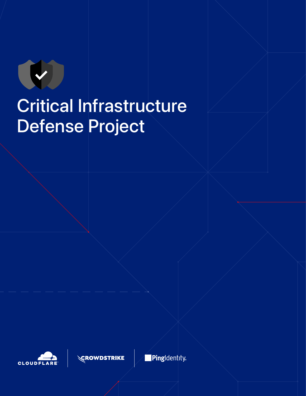

## Critical Infrastructure Defense Project





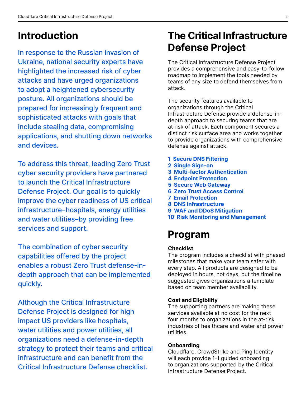### **Introduction**

In response to the Russian invasion of Ukraine, national security experts have highlighted the increased risk of cyber attacks and have urged organizations to adopt a heightened cybersecurity posture. All organizations should be prepared for increasingly frequent and sophisticated attacks with goals that include stealing data, compromising applications, and shutting down networks and devices.

To address this threat, leading Zero Trust cyber security providers have partnered to launch the Critical Infrastructure Defense Project. Our goal is to quickly improve the cyber readiness of US critical infrastructure–hospitals, energy utilities and water utilities–by providing free services and support.

The combination of cyber security capabilities offered by the project enables a robust Zero Trust defense-indepth approach that can be implemented quickly.

Although the Critical Infrastructure Defense Project is designed for high impact US providers like hospitals, water utilities and power utilities, all organizations need a defense-in-depth strategy to protect their teams and critical infrastructure and can benefit from the Critical Infrastructure Defense checklist.

## **The Critical Infrastructure Defense Project**

The Critical Infrastructure Defense Project provides a comprehensive and easy-to-follow roadmap to implement the tools needed by teams of any size to defend themselves from attack.

The security features available to organizations through the Critical Infrastructure Defense provide a defense-indepth approach to securing teams that are at risk of attack. Each component secures a distinct risk surface area and works together to provide organizations with comprehensive defense against attack.

- **1 Secure DNS Filtering**
- **2 Single Sign-on**
- **3 Multi-factor Authentication**
- **4 Endpoint Protection**
- **5 Secure Web Gateway**
- **6 Zero Trust Access Control**
- **7 Email Protection**
- **8 DNS Infrastructure**
- **9 WAF and DDoS Mitigation**
- **10 Risk Monitoring and Management**

### **Program**

#### **Checklist**

The program includes a checklist with phased milestones that make your team safer with every step. All products are designed to be deployed in hours, not days, but the timeline suggested gives organizations a template based on team member availability.

#### **Cost and Eligibility**

The supporting partners are making these services available at no cost for the next four months to organizations in the at-risk industries of healthcare and water and power utilities.

#### **Onboarding**

Cloudflare, CrowdStrike and Ping Identity will each provide 1-1 guided onboarding to organizations supported by the Critical Infrastructure Defense Project.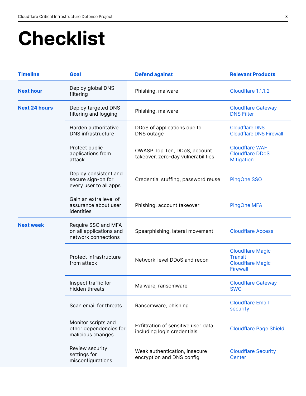## **Checklist**

| <b>Timeline</b>      | Goal                                                                  | <b>Defend against</b>                                               | <b>Relevant Products</b>                                                                |
|----------------------|-----------------------------------------------------------------------|---------------------------------------------------------------------|-----------------------------------------------------------------------------------------|
| <b>Next hour</b>     | Deploy global DNS<br>filtering                                        | Phishing, malware                                                   | Cloudflare 1.1.1.2                                                                      |
| <b>Next 24 hours</b> | Deploy targeted DNS<br>filtering and logging                          | Phishing, malware                                                   | <b>Cloudflare Gateway</b><br><b>DNS Filter</b>                                          |
|                      | Harden authoritative<br><b>DNS</b> infrastructure                     | DDoS of applications due to<br>DNS outage                           | <b>Cloudflare DNS</b><br><b>Cloudflare DNS Firewall</b>                                 |
|                      | Protect public<br>applications from<br>attack                         | OWASP Top Ten, DDoS, account<br>takeover, zero-day vulnerabilities  | <b>Cloudflare WAF</b><br><b>Cloudflare DDoS</b><br><b>Mitigation</b>                    |
|                      | Deploy consistent and<br>secure sign-on for<br>every user to all apps | Credential stuffing, password reuse                                 | PingOne SSO                                                                             |
|                      | Gain an extra level of<br>assurance about user<br>identities          | Phishing, account takeover                                          | <b>PingOne MFA</b>                                                                      |
| <b>Next week</b>     | Require SSO and MFA<br>on all applications and<br>network connections | Spearphishing, lateral movement                                     | <b>Cloudflare Access</b>                                                                |
|                      | Protect infrastructure<br>from attack                                 | Network-level DDoS and recon                                        | <b>Cloudflare Magic</b><br><b>Transit</b><br><b>Cloudflare Magic</b><br><b>Firewall</b> |
|                      | Inspect traffic for<br>hidden threats                                 | Malware, ransomware                                                 | <b>Cloudflare Gateway</b><br><b>SWG</b>                                                 |
|                      | Scan email for threats                                                | Ransomware, phishing                                                | <b>Cloudflare Email</b><br>security                                                     |
|                      | Monitor scripts and<br>other dependencies for<br>malicious changes    | Exfiltration of sensitive user data,<br>including login credentials | <b>Cloudflare Page Shield</b>                                                           |
|                      | Review security<br>settings for<br>misconfigurations                  | Weak authentication, insecure<br>encryption and DNS config          | <b>Cloudflare Security</b><br>Center                                                    |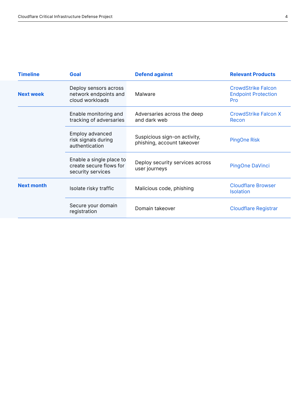| <b>Timeline</b>   | Goal                                                                     | <b>Defend against</b>                                      | <b>Relevant Products</b>                                              |
|-------------------|--------------------------------------------------------------------------|------------------------------------------------------------|-----------------------------------------------------------------------|
| <b>Next week</b>  | Deploy sensors across<br>network endpoints and<br>cloud workloads        | Malware                                                    | <b>CrowdStrike Falcon</b><br><b>Endpoint Protection</b><br><b>Pro</b> |
|                   | Enable monitoring and<br>tracking of adversaries                         | Adversaries across the deep<br>and dark web                | <b>CrowdStrike Falcon X</b><br>Recon                                  |
|                   | Employ advanced<br>risk signals during<br>authentication                 | Suspicious sign-on activity,<br>phishing, account takeover | <b>PingOne Risk</b>                                                   |
|                   | Enable a single place to<br>create secure flows for<br>security services | Deploy security services across<br>user journeys           | PingOne DaVinci                                                       |
| <b>Next month</b> | Isolate risky traffic                                                    | Malicious code, phishing                                   | <b>Cloudflare Browser</b><br><b>Isolation</b>                         |
|                   | Secure your domain<br>registration                                       | Domain takeover                                            | <b>Cloudflare Registrar</b>                                           |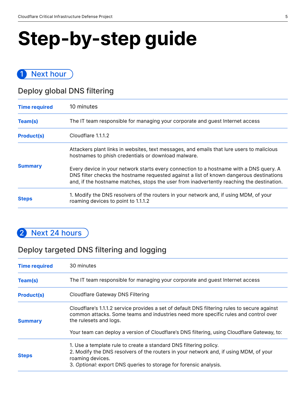# **Step-by-step guide**

#### 1 Next hour

#### Deploy global DNS filtering

| <b>Time required</b> | 10 minutes                                                                                                                                                                                                                                                                     |
|----------------------|--------------------------------------------------------------------------------------------------------------------------------------------------------------------------------------------------------------------------------------------------------------------------------|
| Team(s)              | The IT team responsible for managing your corporate and guest Internet access                                                                                                                                                                                                  |
| <b>Product(s)</b>    | Cloudflare 1.1.1.2                                                                                                                                                                                                                                                             |
|                      | Attackers plant links in websites, text messages, and emails that lure users to malicious<br>hostnames to phish credentials or download malware.                                                                                                                               |
| <b>Summary</b>       | Every device in your network starts every connection to a hostname with a DNS query. A<br>DNS filter checks the hostname requested against a list of known dangerous destinations<br>and, if the hostname matches, stops the user from inadvertently reaching the destination. |
| <b>Steps</b>         | 1. Modify the DNS resolvers of the routers in your network and, if using MDM, of your<br>roaming devices to point to 1.1.1.2                                                                                                                                                   |

#### 2 Next 24 hours

#### Deploy targeted DNS filtering and logging

| <b>Time required</b> | 30 minutes                                                                                                                                                                                                                                                                                                   |
|----------------------|--------------------------------------------------------------------------------------------------------------------------------------------------------------------------------------------------------------------------------------------------------------------------------------------------------------|
| Team(s)              | The IT team responsible for managing your corporate and guest Internet access                                                                                                                                                                                                                                |
| <b>Product(s)</b>    | Cloudflare Gateway DNS Filtering                                                                                                                                                                                                                                                                             |
| <b>Summary</b>       | Cloudflare's 1.1.1.2 service provides a set of default DNS filtering rules to secure against<br>common attacks. Some teams and industries need more specific rules and control over<br>the rulesets and logs.<br>Your team can deploy a version of Cloudflare's DNS filtering, using Cloudflare Gateway, to: |
|                      |                                                                                                                                                                                                                                                                                                              |
| <b>Steps</b>         | 1. Use a template rule to create a standard DNS filtering policy.<br>2. Modify the DNS resolvers of the routers in your network and, if using MDM, of your<br>roaming devices.<br>3. Optional: export DNS queries to storage for forensic analysis.                                                          |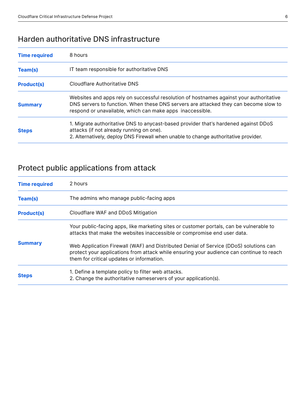#### Harden authoritative DNS infrastructure

| <b>Time required</b> | 8 hours                                                                                                                                                                                                                                      |
|----------------------|----------------------------------------------------------------------------------------------------------------------------------------------------------------------------------------------------------------------------------------------|
| Team(s)              | IT team responsible for authoritative DNS                                                                                                                                                                                                    |
| <b>Product(s)</b>    | Cloudflare Authoritative DNS                                                                                                                                                                                                                 |
| <b>Summary</b>       | Websites and apps rely on successful resolution of hostnames against your authoritative<br>DNS servers to function. When these DNS servers are attacked they can become slow to<br>respond or unavailable, which can make apps inaccessible. |
| <b>Steps</b>         | 1. Migrate authoritative DNS to anycast-based provider that's hardened against DDoS<br>attacks (if not already running on one).<br>2. Alternatively, deploy DNS Firewall when unable to change authoritative provider.                       |

#### Protect public applications from attack

| <b>Time required</b> | 2 hours                                                                                                                                                                                                                        |
|----------------------|--------------------------------------------------------------------------------------------------------------------------------------------------------------------------------------------------------------------------------|
| Team(s)              | The admins who manage public-facing apps                                                                                                                                                                                       |
| <b>Product(s)</b>    | Cloudflare WAF and DDoS Mitigation                                                                                                                                                                                             |
| <b>Summary</b>       | Your public-facing apps, like marketing sites or customer portals, can be vulnerable to<br>attacks that make the websites inaccessible or compromise end user data.                                                            |
|                      | Web Application Firewall (WAF) and Distributed Denial of Service (DDoS) solutions can<br>protect your applications from attack while ensuring your audience can continue to reach<br>them for critical updates or information. |
| <b>Steps</b>         | 1. Define a template policy to filter web attacks.<br>2. Change the authoritative nameservers of your application(s).                                                                                                          |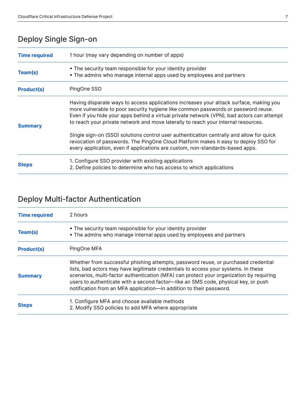#### Deploy Single Sign-on

| <b>Time required</b> | 1 hour (may vary depending on number of apps)                                                                                                                                                                                                                                                                                                                  |
|----------------------|----------------------------------------------------------------------------------------------------------------------------------------------------------------------------------------------------------------------------------------------------------------------------------------------------------------------------------------------------------------|
| Team(s)              | • The security team responsible for your identity provider<br>• The admins who manage internal apps used by employees and partners                                                                                                                                                                                                                             |
| <b>Product(s)</b>    | PingOne SSO                                                                                                                                                                                                                                                                                                                                                    |
| <b>Summary</b>       | Having disparate ways to access applications increases your attack surface, making you<br>more vulnerable to poor security hygiene like common passwords or password reuse.<br>Even if you hide your apps behind a virtual private network (VPN), bad actors can attempt<br>to reach your private network and move laterally to reach your internal resources. |
|                      | Single sign-on (SSO) solutions control user authentication centrally and allow for quick<br>revocation of passwords. The PingOne Cloud Platform makes it easy to deploy SSO for<br>every application, even if applications are custom, non-standards-based apps.                                                                                               |
| <b>Steps</b>         | 1. Configure SSO provider with existing applications<br>2. Define policies to determine who has access to which applications                                                                                                                                                                                                                                   |

#### Deploy Multi-factor Authentication

| <b>Time required</b> | 2 hours                                                                                                                                                                                                                                                                                                                                                                                                                          |
|----------------------|----------------------------------------------------------------------------------------------------------------------------------------------------------------------------------------------------------------------------------------------------------------------------------------------------------------------------------------------------------------------------------------------------------------------------------|
| Team(s)              | • The security team responsible for your identity provider<br>• The admins who manage internal apps used by employees and partners                                                                                                                                                                                                                                                                                               |
| <b>Product(s)</b>    | PingOne MFA                                                                                                                                                                                                                                                                                                                                                                                                                      |
| <b>Summary</b>       | Whether from successful phishing attempts, password reuse, or purchased credential<br>lists, bad actors may have legitimate credentials to access your systems. In these<br>scenarios, multi-factor authentication (MFA) can protect your organization by requiring<br>users to authenticate with a second factor—like an SMS code, physical key, or push<br>notification from an MFA application—in addition to their password. |
| <b>Steps</b>         | 1. Configure MFA and choose available methods<br>2. Modify SSO policies to add MFA where appropriate                                                                                                                                                                                                                                                                                                                             |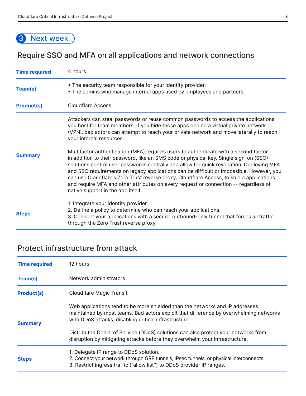#### 3 Next week

#### Require SSO and MFA on all applications and network connections

| <b>Time required</b> | 4 hours                                                                                                                                                                                                                                                                                                                                                                                                                                                                                                                                                                                                                                                                                                                                                                                                                                                                                           |
|----------------------|---------------------------------------------------------------------------------------------------------------------------------------------------------------------------------------------------------------------------------------------------------------------------------------------------------------------------------------------------------------------------------------------------------------------------------------------------------------------------------------------------------------------------------------------------------------------------------------------------------------------------------------------------------------------------------------------------------------------------------------------------------------------------------------------------------------------------------------------------------------------------------------------------|
| Team(s)              | • The security team responsible for your identity provider.<br>. The admins who manage internal apps used by employees and partners.                                                                                                                                                                                                                                                                                                                                                                                                                                                                                                                                                                                                                                                                                                                                                              |
| <b>Product(s)</b>    | <b>Cloudflare Access</b>                                                                                                                                                                                                                                                                                                                                                                                                                                                                                                                                                                                                                                                                                                                                                                                                                                                                          |
| <b>Summary</b>       | Attackers can steal passwords or reuse common passwords to access the applications<br>you host for team members. If you hide those apps behind a virtual private network<br>(VPN), bad actors can attempt to reach your private network and move laterally to reach<br>your internal resources.<br>Multifactor authentication (MFA) requires users to authenticate with a second factor<br>in addition to their password, like an SMS code or physical key. Single sign-on (SSO)<br>solutions control user passwords centrally and allow for quick revocation. Deploying MFA<br>and SSO requirements on legacy applications can be difficult or impossible. However, you<br>can use Cloudflare's Zero Trust reverse proxy, Cloudflare Access, to shield applications<br>and require MFA and other attributes on every request or connection -- regardless of<br>native support in the app itself. |
| <b>Steps</b>         | 1. Integrate your identity provider.<br>2. Define a policy to determine who can reach your applications.<br>3. Connect your applications with a secure, outbound-only tunnel that forces all traffic<br>through the Zero Trust reverse proxy.                                                                                                                                                                                                                                                                                                                                                                                                                                                                                                                                                                                                                                                     |

#### Protect infrastructure from attack

| <b>Time required</b> | 12 hours                                                                                                                                                                                                                       |  |
|----------------------|--------------------------------------------------------------------------------------------------------------------------------------------------------------------------------------------------------------------------------|--|
| Team(s)              | Network administrators                                                                                                                                                                                                         |  |
| <b>Product(s)</b>    | <b>Cloudflare Magic Transit</b>                                                                                                                                                                                                |  |
| <b>Summary</b>       | Web applications tend to be more shielded than the networks and IP addresses<br>maintained by most teams. Bad actors exploit that difference by overwhelming networks<br>with DDoS attacks, disabling critical infrastructure. |  |
|                      | Distributed Denial of Service (DDoS) solutions can also protect your networks from<br>disruption by mitigating attacks before they overwhelm your infrastructure.                                                              |  |
| <b>Steps</b>         | 1. Delegate IP range to DDoS solution.<br>2. Connect your network through GRE tunnels, IPsec tunnels, or physical interconnects.<br>3. Restrict ingress traffic ("allow list") to DDoS provider IP ranges.                     |  |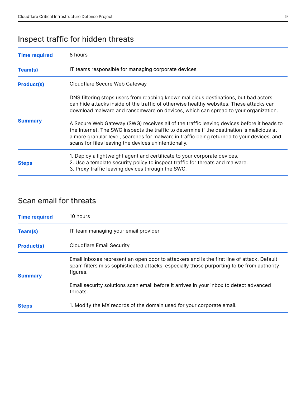#### Inspect traffic for hidden threats

| <b>Time required</b> | 8 hours                                                                                                                                                                                                                                                                                                                                                                                                                                                                                                                                                                                                                |
|----------------------|------------------------------------------------------------------------------------------------------------------------------------------------------------------------------------------------------------------------------------------------------------------------------------------------------------------------------------------------------------------------------------------------------------------------------------------------------------------------------------------------------------------------------------------------------------------------------------------------------------------------|
| Team(s)              | IT teams responsible for managing corporate devices                                                                                                                                                                                                                                                                                                                                                                                                                                                                                                                                                                    |
| <b>Product(s)</b>    | Cloudflare Secure Web Gateway                                                                                                                                                                                                                                                                                                                                                                                                                                                                                                                                                                                          |
| <b>Summary</b>       | DNS filtering stops users from reaching known malicious destinations, but bad actors<br>can hide attacks inside of the traffic of otherwise healthy websites. These attacks can<br>download malware and ransomware on devices, which can spread to your organization.<br>A Secure Web Gateway (SWG) receives all of the traffic leaving devices before it heads to<br>the Internet. The SWG inspects the traffic to determine if the destination is malicious at<br>a more granular level, searches for malware in traffic being returned to your devices, and<br>scans for files leaving the devices unintentionally. |
| <b>Steps</b>         | 1. Deploy a lightweight agent and certificate to your corporate devices.<br>2. Use a template security policy to inspect traffic for threats and malware.<br>3. Proxy traffic leaving devices through the SWG.                                                                                                                                                                                                                                                                                                                                                                                                         |

#### Scan email for threats

| <b>Time required</b> | 10 hours                                                                                                                                                                                            |
|----------------------|-----------------------------------------------------------------------------------------------------------------------------------------------------------------------------------------------------|
| Team(s)              | IT team managing your email provider                                                                                                                                                                |
| <b>Product(s)</b>    | <b>Cloudflare Email Security</b>                                                                                                                                                                    |
| <b>Summary</b>       | Email inboxes represent an open door to attackers and is the first line of attack. Default<br>spam filters miss sophisticated attacks, especially those purporting to be from authority<br>figures. |
|                      | Email security solutions scan email before it arrives in your inbox to detect advanced<br>threats.                                                                                                  |
| <b>Steps</b>         | 1. Modify the MX records of the domain used for your corporate email.                                                                                                                               |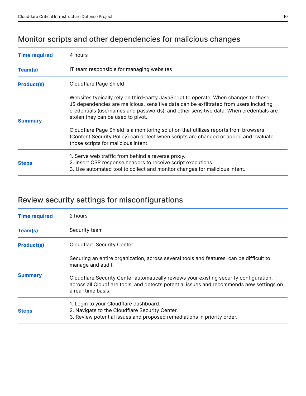#### Monitor scripts and other dependencies for malicious changes

| <b>Time required</b> | 4 hours                                                                                                                                                                                                                                                                                                    |
|----------------------|------------------------------------------------------------------------------------------------------------------------------------------------------------------------------------------------------------------------------------------------------------------------------------------------------------|
| Team(s)              | IT team responsible for managing websites                                                                                                                                                                                                                                                                  |
| <b>Product(s)</b>    | Cloudflare Page Shield                                                                                                                                                                                                                                                                                     |
| <b>Summary</b>       | Websites typically rely on third-party JavaScript to operate. When changes to these<br>JS dependencies are malicious, sensitive data can be exfiltrated from users including<br>credentials (usernames and passwords), and other sensitive data. When credentials are<br>stolen they can be used to pivot. |
|                      | Cloudflare Page Shield is a monitoring solution that utilizes reports from browsers<br>(Content Security Policy) can detect when scripts are changed or added and evaluate<br>those scripts for malicious intent.                                                                                          |
|                      | 1. Serve web traffic from behind a reverse proxy.                                                                                                                                                                                                                                                          |
| <b>Steps</b>         | 2. Insert CSP response headers to receive script executions.                                                                                                                                                                                                                                               |
|                      | 3. Use automated tool to collect and monitor changes for malicious intent.                                                                                                                                                                                                                                 |

#### Review security settings for misconfigurations

| <b>Time required</b> | 2 hours                                                                                                                                                                                                  |
|----------------------|----------------------------------------------------------------------------------------------------------------------------------------------------------------------------------------------------------|
| Team(s)              | Security team                                                                                                                                                                                            |
| <b>Product(s)</b>    | <b>Cloudflare Security Center</b>                                                                                                                                                                        |
| <b>Summary</b>       | Securing an entire organization, across several tools and features, can be difficult to<br>manage and audit.                                                                                             |
|                      | Cloudflare Security Center automatically reviews your existing security configuration,<br>across all Cloudflare tools, and detects potential issues and recommends new settings on<br>a real-time basis. |
| <b>Steps</b>         | 1. Login to your Cloudflare dashboard.<br>2. Navigate to the Cloudflare Security Center.<br>3. Review potential issues and proposed remediations in priority order.                                      |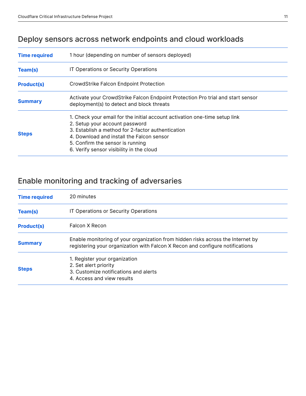#### Deploy sensors across network endpoints and cloud workloads

| <b>Time required</b> | 1 hour (depending on number of sensors deployed)                                                                                                                                                                                                                                               |
|----------------------|------------------------------------------------------------------------------------------------------------------------------------------------------------------------------------------------------------------------------------------------------------------------------------------------|
| Team(s)              | IT Operations or Security Operations                                                                                                                                                                                                                                                           |
| <b>Product(s)</b>    | CrowdStrike Falcon Endpoint Protection                                                                                                                                                                                                                                                         |
| <b>Summary</b>       | Activate your CrowdStrike Falcon Endpoint Protection Pro trial and start sensor<br>deployment(s) to detect and block threats                                                                                                                                                                   |
| <b>Steps</b>         | 1. Check your email for the initial account activation one-time setup link<br>2. Setup your account password<br>3. Establish a method for 2-factor authentication<br>4. Download and install the Falcon sensor<br>5. Confirm the sensor is running<br>6. Verify sensor visibility in the cloud |

#### Enable monitoring and tracking of adversaries

| <b>Time required</b> | 20 minutes                                                                                                                                                       |
|----------------------|------------------------------------------------------------------------------------------------------------------------------------------------------------------|
| Team(s)              | IT Operations or Security Operations                                                                                                                             |
| <b>Product(s)</b>    | Falcon X Recon                                                                                                                                                   |
| <b>Summary</b>       | Enable monitoring of your organization from hidden risks across the Internet by<br>registering your organization with Falcon X Recon and configure notifications |
| <b>Steps</b>         | 1. Register your organization<br>2. Set alert priority<br>3. Customize notifications and alerts<br>4. Access and view results                                    |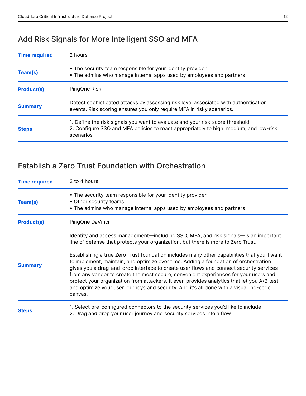#### Add Risk Signals for More Intelligent SSO and MFA

| <b>Time required</b> | 2 hours                                                                                                                                                                              |
|----------------------|--------------------------------------------------------------------------------------------------------------------------------------------------------------------------------------|
| Team(s)              | • The security team responsible for your identity provider<br>• The admins who manage internal apps used by employees and partners                                                   |
| <b>Product(s)</b>    | PingOne Risk                                                                                                                                                                         |
| <b>Summary</b>       | Detect sophisticated attacks by assessing risk level associated with authentication<br>events. Risk scoring ensures you only require MFA in risky scenarios.                         |
| <b>Steps</b>         | 1. Define the risk signals you want to evaluate and your risk-score threshold<br>2. Configure SSO and MFA policies to react appropriately to high, medium, and low-risk<br>scenarios |

#### Establish a Zero Trust Foundation with Orchestration

| <b>Time required</b> | 2 to 4 hours                                                                                                                                                                                                                                                                                                                                                                                                                                                              |
|----------------------|---------------------------------------------------------------------------------------------------------------------------------------------------------------------------------------------------------------------------------------------------------------------------------------------------------------------------------------------------------------------------------------------------------------------------------------------------------------------------|
| Team(s)              | • The security team responsible for your identity provider<br>• Other security teams<br>• The admins who manage internal apps used by employees and partners                                                                                                                                                                                                                                                                                                              |
| <b>Product(s)</b>    | PingOne DaVinci                                                                                                                                                                                                                                                                                                                                                                                                                                                           |
|                      | Identity and access management—including SSO, MFA, and risk signals—is an important<br>line of defense that protects your organization, but there is more to Zero Trust.<br>Establishing a true Zero Trust foundation includes many other capabilities that you'll want                                                                                                                                                                                                   |
| <b>Summary</b>       | to implement, maintain, and optimize over time. Adding a foundation of orchestration<br>gives you a drag-and-drop interface to create user flows and connect security services<br>from any vendor to create the most secure, convenient experiences for your users and<br>protect your organization from attackers. It even provides analytics that let you A/B test<br>and optimize your user journeys and security. And it's all done with a visual, no-code<br>canvas. |
| <b>Steps</b>         | 1. Select pre-configured connectors to the security services you'd like to include<br>2. Drag and drop your user journey and security services into a flow                                                                                                                                                                                                                                                                                                                |